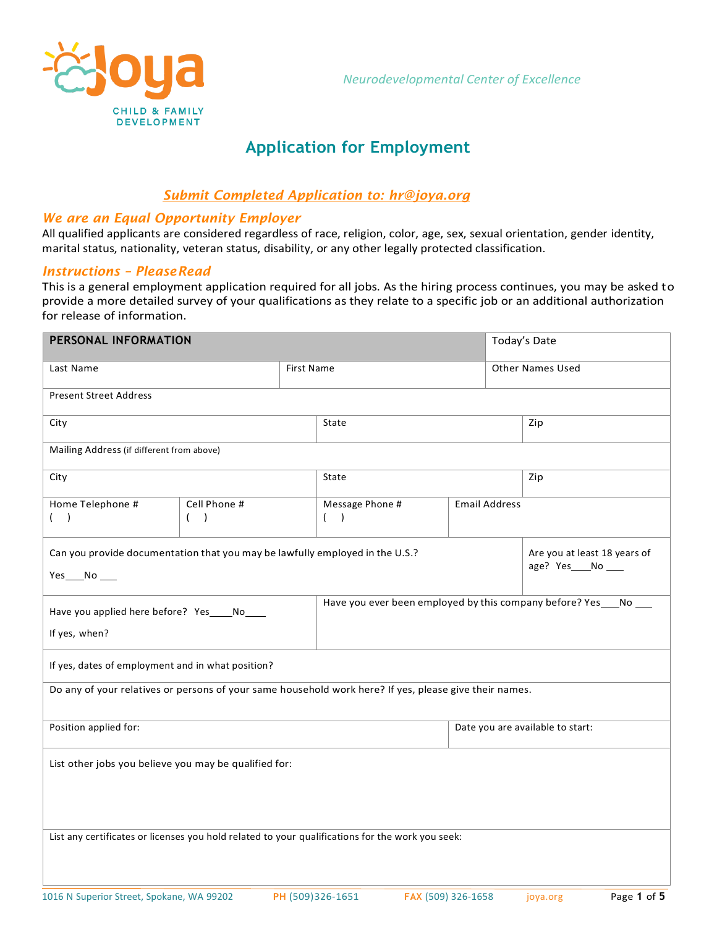



## **Application for Employment**

### *Submit Completed Application to: hr@joya.org*

### *We are an Equal Opportunity Employer*

All qualified applicants are considered regardless of race, religion, color, age, sex, sexual orientation, gender identity, marital status, nationality, veteran status, disability, or any other legally protected classification.

#### *Instructions – PleaseRead*

This is a general employment application required for all jobs. As the hiring process continues, you may be asked to provide a more detailed survey of your qualifications as they relate to a specific job or an additional authorization for release of information.

| PERSONAL INFORMATION                                                                                   |                       |                   |                                                              |                    | Today's Date                     |                         |                              |
|--------------------------------------------------------------------------------------------------------|-----------------------|-------------------|--------------------------------------------------------------|--------------------|----------------------------------|-------------------------|------------------------------|
| Last Name                                                                                              |                       | <b>First Name</b> |                                                              |                    |                                  | <b>Other Names Used</b> |                              |
| <b>Present Street Address</b>                                                                          |                       |                   |                                                              |                    |                                  |                         |                              |
| City                                                                                                   |                       |                   | State                                                        |                    |                                  | Zip                     |                              |
| Mailing Address (if different from above)                                                              |                       |                   |                                                              |                    |                                  |                         |                              |
| City                                                                                                   |                       |                   | State                                                        |                    |                                  | Zip                     |                              |
| Home Telephone #<br>( )                                                                                | Cell Phone #<br>$($ ) |                   | Message Phone #<br>(                                         |                    | <b>Email Address</b>             |                         |                              |
| Can you provide documentation that you may be lawfully employed in the U.S.?<br>$Yes$ No $\_\_$        |                       |                   |                                                              |                    |                                  | age? Yes___No __        | Are you at least 18 years of |
| Have you applied here before? Yes____No__                                                              |                       |                   | Have you ever been employed by this company before? Yes_ No_ |                    |                                  |                         |                              |
| If yes, when?                                                                                          |                       |                   |                                                              |                    |                                  |                         |                              |
| If yes, dates of employment and in what position?                                                      |                       |                   |                                                              |                    |                                  |                         |                              |
| Do any of your relatives or persons of your same household work here? If yes, please give their names. |                       |                   |                                                              |                    |                                  |                         |                              |
| Position applied for:                                                                                  |                       |                   |                                                              |                    | Date you are available to start: |                         |                              |
| List other jobs you believe you may be qualified for:                                                  |                       |                   |                                                              |                    |                                  |                         |                              |
| List any certificates or licenses you hold related to your qualifications for the work you seek:       |                       |                   |                                                              |                    |                                  |                         |                              |
| 1016 N Superior Street, Spokane, WA 99202                                                              |                       | PH (509)326-1651  |                                                              | FAX (509) 326-1658 |                                  | joya.org                | Page 1 of 5                  |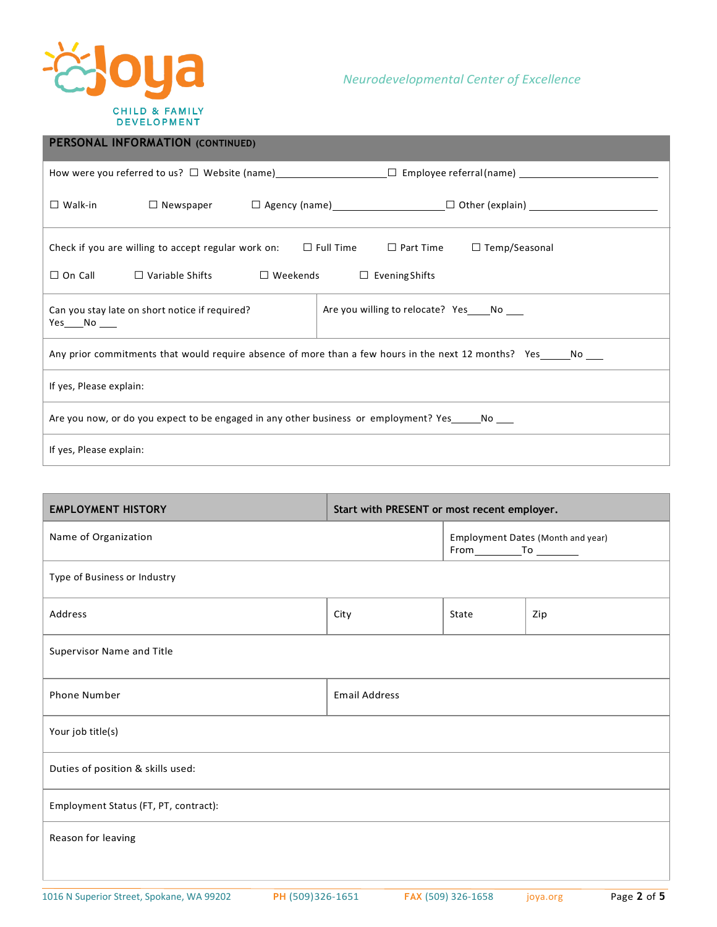

### **PERSONAL INFORMATION (CONTINUED)**

| $\Box$ Walk-in                                                                                                      |  |  |  |  |
|---------------------------------------------------------------------------------------------------------------------|--|--|--|--|
|                                                                                                                     |  |  |  |  |
| Check if you are willing to accept regular work on: $\square$ Full Time $\square$ Part Time $\square$ Temp/Seasonal |  |  |  |  |
| $\Box$ On Call $\Box$ Variable Shifts $\Box$ Weekends $\Box$ Evening Shifts                                         |  |  |  |  |
|                                                                                                                     |  |  |  |  |
| Are you willing to relocate? Yes____No ___<br>Can you stay late on short notice if required?                        |  |  |  |  |
| Yes No                                                                                                              |  |  |  |  |
| Any prior commitments that would require absence of more than a few hours in the next 12 months? Yes_____No ___     |  |  |  |  |
|                                                                                                                     |  |  |  |  |
| If yes, Please explain:                                                                                             |  |  |  |  |
|                                                                                                                     |  |  |  |  |
| Are you now, or do you expect to be engaged in any other business or employment? Yes_____No ___                     |  |  |  |  |
| If yes, Please explain:                                                                                             |  |  |  |  |
|                                                                                                                     |  |  |  |  |

| <b>EMPLOYMENT HISTORY</b>             | Start with PRESENT or most recent employer. |                                   |     |  |
|---------------------------------------|---------------------------------------------|-----------------------------------|-----|--|
| Name of Organization                  |                                             | Employment Dates (Month and year) |     |  |
| Type of Business or Industry          |                                             |                                   |     |  |
| Address                               | City                                        | State                             | Zip |  |
| Supervisor Name and Title             |                                             |                                   |     |  |
| Phone Number                          | <b>Email Address</b>                        |                                   |     |  |
| Your job title(s)                     |                                             |                                   |     |  |
| Duties of position & skills used:     |                                             |                                   |     |  |
| Employment Status (FT, PT, contract): |                                             |                                   |     |  |
| Reason for leaving                    |                                             |                                   |     |  |
|                                       |                                             |                                   |     |  |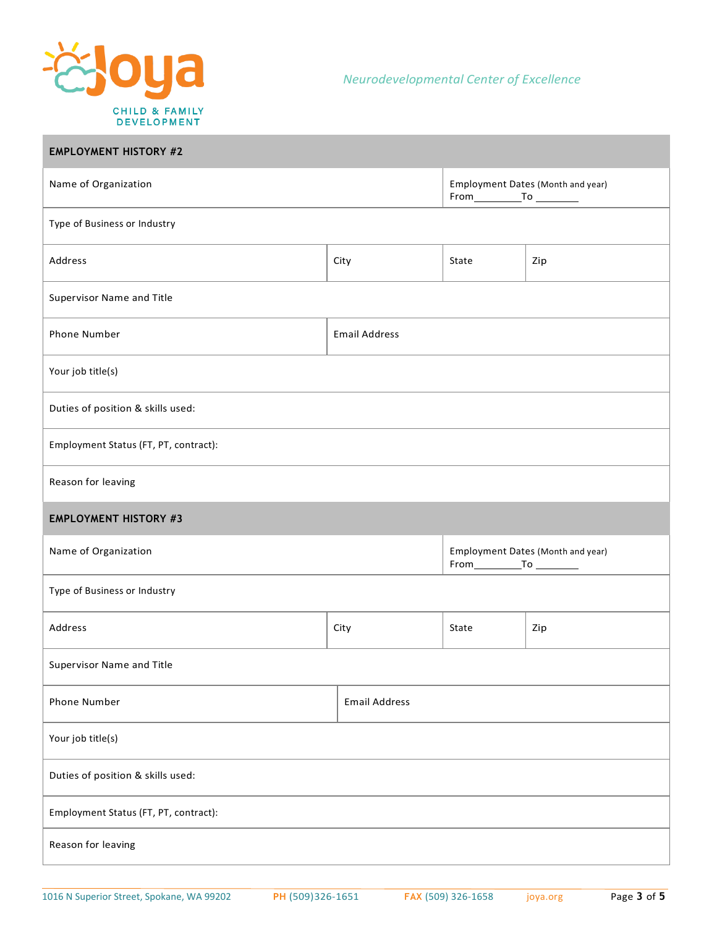

| <b>EMPLOYMENT HISTORY #2</b>          |                      |                                                         |     |  |
|---------------------------------------|----------------------|---------------------------------------------------------|-----|--|
| Name of Organization                  |                      | Employment Dates (Month and year)<br>$From \_\_To \_\_$ |     |  |
| Type of Business or Industry          |                      |                                                         |     |  |
| Address                               | City                 | State                                                   | Zip |  |
| Supervisor Name and Title             |                      |                                                         |     |  |
| <b>Email Address</b><br>Phone Number  |                      |                                                         |     |  |
| Your job title(s)                     |                      |                                                         |     |  |
| Duties of position & skills used:     |                      |                                                         |     |  |
| Employment Status (FT, PT, contract): |                      |                                                         |     |  |
| Reason for leaving                    |                      |                                                         |     |  |
| <b>EMPLOYMENT HISTORY #3</b>          |                      |                                                         |     |  |
| Name of Organization                  |                      | Employment Dates (Month and year)                       |     |  |
| Type of Business or Industry          |                      |                                                         |     |  |
| Address                               | City                 | State                                                   | Zip |  |
| Supervisor Name and Title             |                      |                                                         |     |  |
| Phone Number                          | <b>Email Address</b> |                                                         |     |  |
| Your job title(s)                     |                      |                                                         |     |  |
| Duties of position & skills used:     |                      |                                                         |     |  |
| Employment Status (FT, PT, contract): |                      |                                                         |     |  |
| Reason for leaving                    |                      |                                                         |     |  |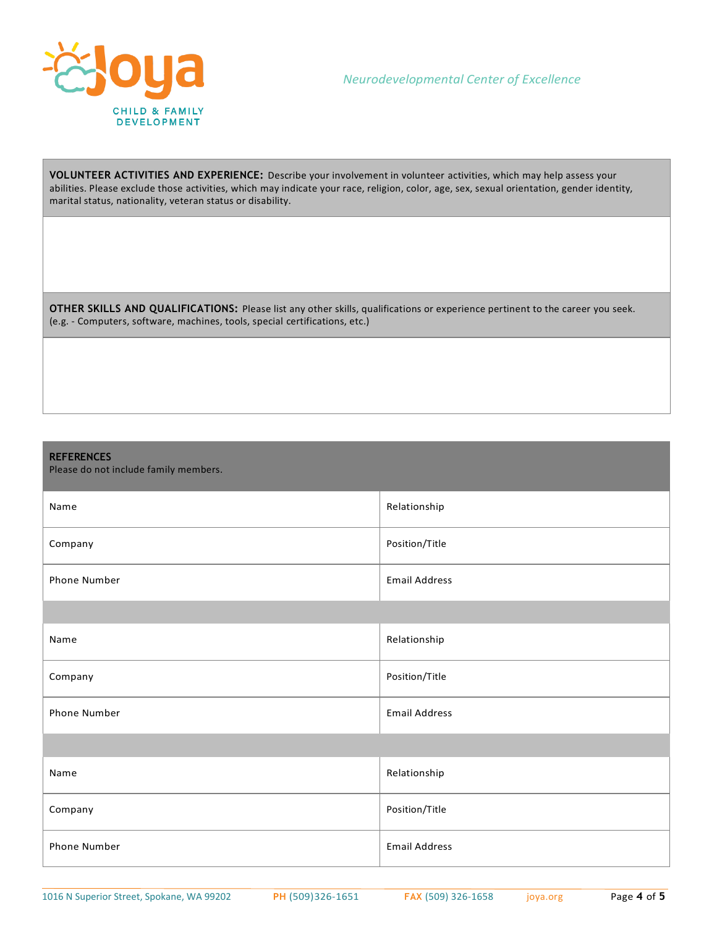

**VOLUNTEER ACTIVITIES AND EXPERIENCE:** Describe your involvement in volunteer activities, which may help assess your abilities. Please exclude those activities, which may indicate your race, religion, color, age, sex, sexual orientation, gender identity, marital status, nationality, veteran status or disability.

**OTHER SKILLS AND QUALIFICATIONS:** Please list any other skills, qualifications or experience pertinent to the career you seek. (e.g. - Computers, software, machines, tools, special certifications, etc.)

#### **REFERENCES**

Please do not include family members.

| Name         | Relationship         |
|--------------|----------------------|
| Company      | Position/Title       |
| Phone Number | <b>Email Address</b> |
|              |                      |
| Name         | Relationship         |
| Company      | Position/Title       |
| Phone Number | <b>Email Address</b> |
|              |                      |
| Name         | Relationship         |
| Company      | Position/Title       |
| Phone Number | <b>Email Address</b> |